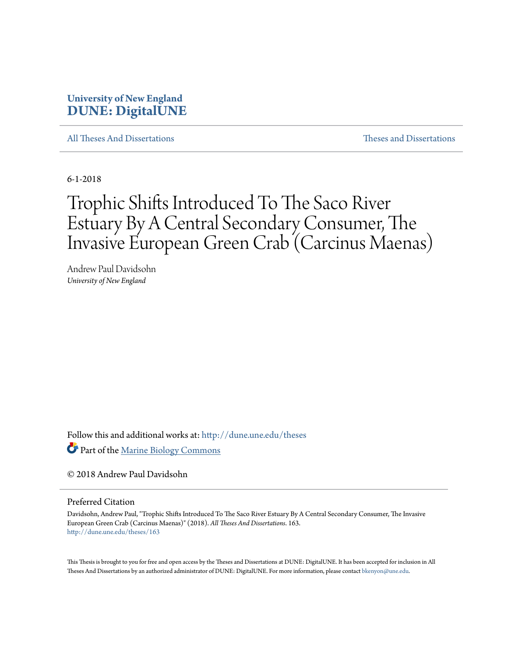# **University of New England [DUNE: DigitalUNE](http://dune.une.edu?utm_source=dune.une.edu%2Ftheses%2F163&utm_medium=PDF&utm_campaign=PDFCoverPages)**

[All Theses And Dissertations](http://dune.une.edu/theses?utm_source=dune.une.edu%2Ftheses%2F163&utm_medium=PDF&utm_campaign=PDFCoverPages) [Theses and Dissertations](http://dune.une.edu/theses_dissertations?utm_source=dune.une.edu%2Ftheses%2F163&utm_medium=PDF&utm_campaign=PDFCoverPages)

6-1-2018

# Trophic Shifts Introduced To The Saco River Estuary By A Central Secondary Consumer, The Invasive European Green Crab (Carcinus Maenas)

Andrew Paul Davidsohn *University of New England*

Follow this and additional works at: [http://dune.une.edu/theses](http://dune.une.edu/theses?utm_source=dune.une.edu%2Ftheses%2F163&utm_medium=PDF&utm_campaign=PDFCoverPages)

Part of the [Marine Biology Commons](http://network.bepress.com/hgg/discipline/1126?utm_source=dune.une.edu%2Ftheses%2F163&utm_medium=PDF&utm_campaign=PDFCoverPages)

© 2018 Andrew Paul Davidsohn

Preferred Citation

Davidsohn, Andrew Paul, "Trophic Shifts Introduced To The Saco River Estuary By A Central Secondary Consumer, The Invasive European Green Crab (Carcinus Maenas)" (2018). *All Theses And Dissertations*. 163. [http://dune.une.edu/theses/163](http://dune.une.edu/theses/163?utm_source=dune.une.edu%2Ftheses%2F163&utm_medium=PDF&utm_campaign=PDFCoverPages)

This Thesis is brought to you for free and open access by the Theses and Dissertations at DUNE: DigitalUNE. It has been accepted for inclusion in All Theses And Dissertations by an authorized administrator of DUNE: DigitalUNE. For more information, please contact [bkenyon@une.edu.](mailto:bkenyon@une.edu)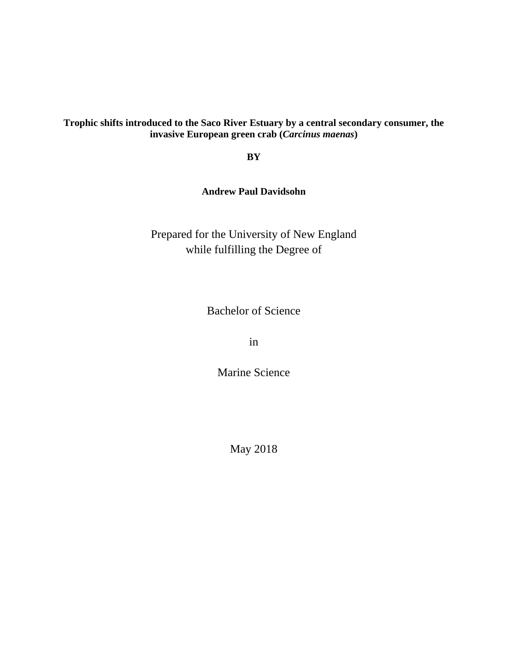## **Trophic shifts introduced to the Saco River Estuary by a central secondary consumer, the invasive European green crab (***Carcinus maenas***)**

**BY**

**Andrew Paul Davidsohn**

Prepared for the University of New England while fulfilling the Degree of

Bachelor of Science

in

Marine Science

May 2018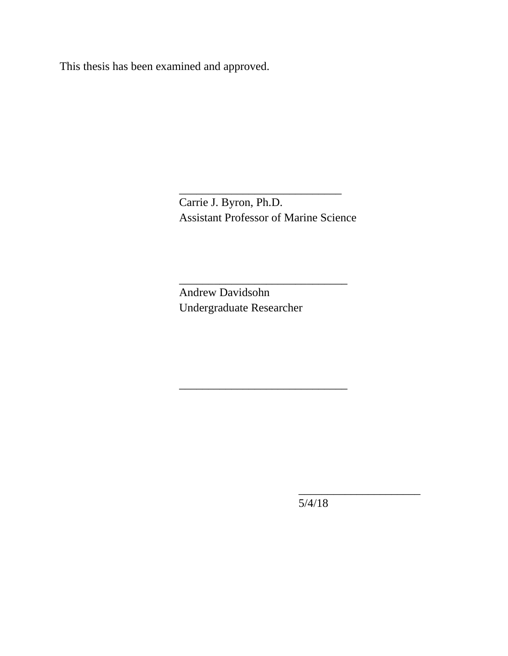This thesis has been examined and approved.

Carrie J. Byron, Ph.D. Assistant Professor of Marine Science

\_\_\_\_\_\_\_\_\_\_\_\_\_\_\_\_\_\_\_\_\_\_\_\_\_\_\_\_\_

\_\_\_\_\_\_\_\_\_\_\_\_\_\_\_\_\_\_\_\_\_\_\_\_\_\_\_\_\_

\_\_\_\_\_\_\_\_\_\_\_\_\_\_\_\_\_\_\_\_\_\_\_\_\_\_\_\_

Andrew Davidsohn Undergraduate Researcher

5/4/18

\_\_\_\_\_\_\_\_\_\_\_\_\_\_\_\_\_\_\_\_\_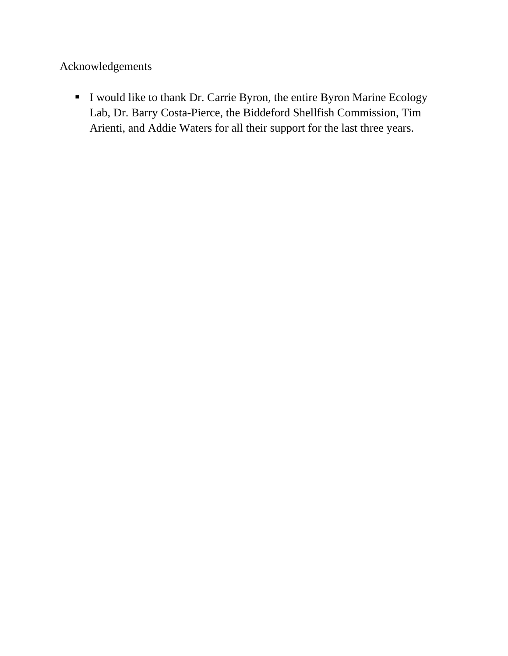Acknowledgements

I would like to thank Dr. Carrie Byron, the entire Byron Marine Ecology Lab, Dr. Barry Costa-Pierce, the Biddeford Shellfish Commission, Tim Arienti, and Addie Waters for all their support for the last three years.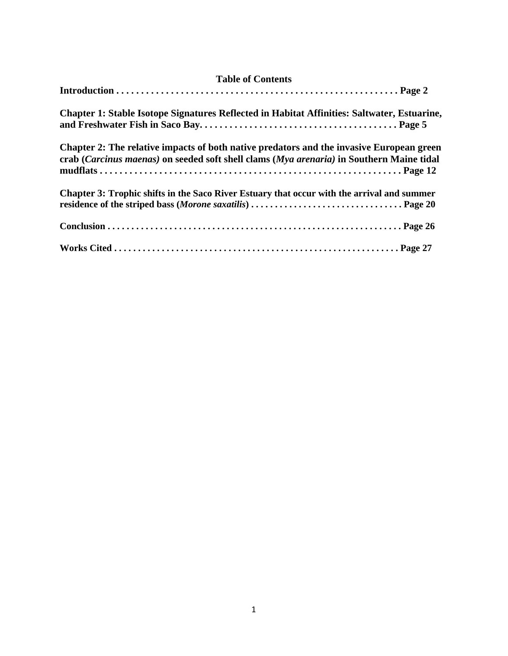| <b>Chapter 1: Stable Isotope Signatures Reflected in Habitat Affinities: Saltwater, Estuarine,</b>                                                                                   |  |  |  |  |
|--------------------------------------------------------------------------------------------------------------------------------------------------------------------------------------|--|--|--|--|
| Chapter 2: The relative impacts of both native predators and the invasive European green<br>crab (Carcinus maenas) on seeded soft shell clams (Mya arenaria) in Southern Maine tidal |  |  |  |  |
| Chapter 3: Trophic shifts in the Saco River Estuary that occur with the arrival and summer                                                                                           |  |  |  |  |
|                                                                                                                                                                                      |  |  |  |  |
|                                                                                                                                                                                      |  |  |  |  |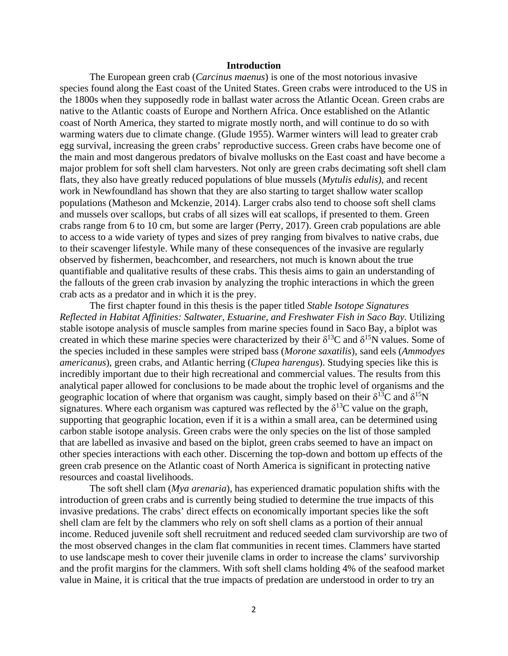#### **Introduction**

The European green crab (*Carcinus maenus*) is one of the most notorious invasive species found along the East coast of the United States. Green crabs were introduced to the US in the 1800s when they supposedly rode in ballast water across the Atlantic Ocean. Green crabs are native to the Atlantic coasts of Europe and Northern Africa. Once established on the Atlantic coast of North America, they started to migrate mostly north, and will continue to do so with warming waters due to climate change. (Glude 1955). Warmer winters will lead to greater crab egg survival, increasing the green crabs' reproductive success. Green crabs have become one of the main and most dangerous predators of bivalve mollusks on the East coast and have become a major problem for soft shell clam harvesters. Not only are green crabs decimating soft shell clam flats, they also have greatly reduced populations of blue mussels (*Mytulis edulis)*, and recent work in Newfoundland has shown that they are also starting to target shallow water scallop populations (Matheson and Mckenzie, 2014). Larger crabs also tend to choose soft shell clams and mussels over scallops, but crabs of all sizes will eat scallops, if presented to them. Green crabs range from 6 to 10 cm, but some are larger (Perry, 2017). Green crab populations are able to access to a wide variety of types and sizes of prey ranging from bivalves to native crabs, due to their scavenger lifestyle. While many of these consequences of the invasive are regularly observed by fishermen, beachcomber, and researchers, not much is known about the true quantifiable and qualitative results of these crabs. This thesis aims to gain an understanding of the fallouts of the green crab invasion by analyzing the trophic interactions in which the green crab acts as a predator and in which it is the prey.

The first chapter found in this thesis is the paper titled *Stable Isotope Signatures Reflected in Habitat Affinities: Saltwater, Estuarine, and Freshwater Fish in Saco Bay.* Utilizing stable isotope analysis of muscle samples from marine species found in Saco Bay, a biplot was created in which these marine species were characterized by their  $\delta^{13}C$  and  $\delta^{15}N$  values. Some of the species included in these samples were striped bass (*Morone saxatilis*), sand eels (*Ammodyes americanus*), green crabs, and Atlantic herring (*Clupea harengus*). Studying species like this is incredibly important due to their high recreational and commercial values. The results from this analytical paper allowed for conclusions to be made about the trophic level of organisms and the geographic location of where that organism was caught, simply based on their  $\delta^{13}C$  and  $\delta^{15}N$ signatures. Where each organism was captured was reflected by the  $\delta^{13}C$  value on the graph, supporting that geographic location, even if it is a within a small area, can be determined using carbon stable isotope analysis. Green crabs were the only species on the list of those sampled that are labelled as invasive and based on the biplot, green crabs seemed to have an impact on other species interactions with each other. Discerning the top-down and bottom up effects of the green crab presence on the Atlantic coast of North America is significant in protecting native resources and coastal livelihoods.

The soft shell clam (*Mya arenaria*), has experienced dramatic population shifts with the introduction of green crabs and is currently being studied to determine the true impacts of this invasive predations. The crabs' direct effects on economically important species like the soft shell clam are felt by the clammers who rely on soft shell clams as a portion of their annual income. Reduced juvenile soft shell recruitment and reduced seeded clam survivorship are two of the most observed changes in the clam flat communities in recent times. Clammers have started to use landscape mesh to cover their juvenile clams in order to increase the clams' survivorship and the profit margins for the clammers. With soft shell clams holding 4% of the seafood market value in Maine, it is critical that the true impacts of predation are understood in order to try an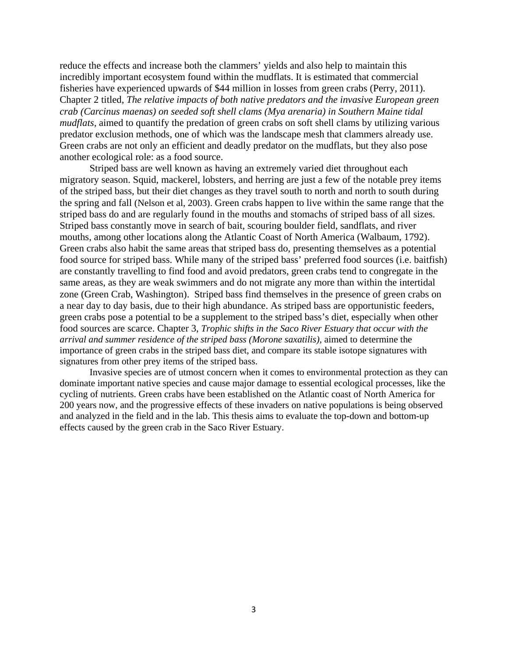reduce the effects and increase both the clammers' yields and also help to maintain this incredibly important ecosystem found within the mudflats. It is estimated that commercial fisheries have experienced upwards of \$44 million in losses from green crabs (Perry, 2011). Chapter 2 titled, *The relative impacts of both native predators and the invasive European green crab (Carcinus maenas) on seeded soft shell clams (Mya arenaria) in Southern Maine tidal mudflats,* aimed to quantify the predation of green crabs on soft shell clams by utilizing various predator exclusion methods, one of which was the landscape mesh that clammers already use. Green crabs are not only an efficient and deadly predator on the mudflats, but they also pose another ecological role: as a food source.

Striped bass are well known as having an extremely varied diet throughout each migratory season. Squid, mackerel, lobsters, and herring are just a few of the notable prey items of the striped bass, but their diet changes as they travel south to north and north to south during the spring and fall (Nelson et al, 2003). Green crabs happen to live within the same range that the striped bass do and are regularly found in the mouths and stomachs of striped bass of all sizes. Striped bass constantly move in search of bait, scouring boulder field, sandflats, and river mouths, among other locations along the Atlantic Coast of North America (Walbaum, 1792). Green crabs also habit the same areas that striped bass do, presenting themselves as a potential food source for striped bass. While many of the striped bass' preferred food sources (i.e. baitfish) are constantly travelling to find food and avoid predators, green crabs tend to congregate in the same areas, as they are weak swimmers and do not migrate any more than within the intertidal zone (Green Crab, Washington). Striped bass find themselves in the presence of green crabs on a near day to day basis, due to their high abundance. As striped bass are opportunistic feeders, green crabs pose a potential to be a supplement to the striped bass's diet, especially when other food sources are scarce. Chapter 3, *Trophic shifts in the Saco River Estuary that occur with the arrival and summer residence of the striped bass (Morone saxatilis),* aimed to determine the importance of green crabs in the striped bass diet, and compare its stable isotope signatures with signatures from other prey items of the striped bass.

Invasive species are of utmost concern when it comes to environmental protection as they can dominate important native species and cause major damage to essential ecological processes, like the cycling of nutrients. Green crabs have been established on the Atlantic coast of North America for 200 years now, and the progressive effects of these invaders on native populations is being observed and analyzed in the field and in the lab. This thesis aims to evaluate the top-down and bottom-up effects caused by the green crab in the Saco River Estuary.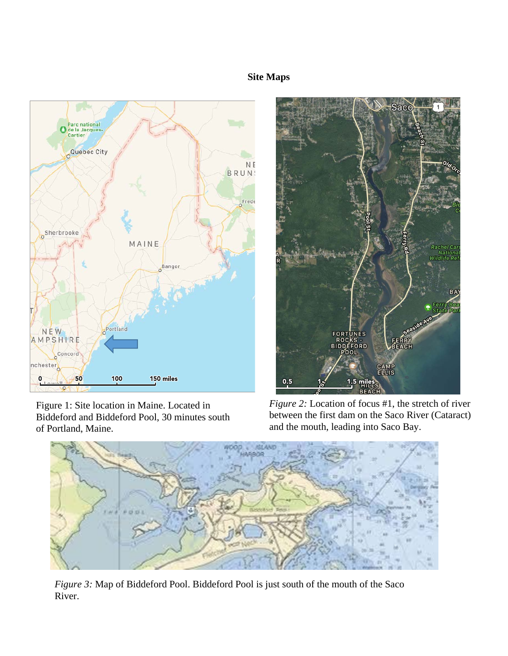# **Site Maps**



Figure 1: Site location in Maine. Located in Biddeford and Biddeford Pool, 30 minutes south of Portland, Maine.



*Figure 2:* Location of focus #1, the stretch of river between the first dam on the Saco River (Cataract) and the mouth, leading into Saco Bay.



*Figure 3:* Map of Biddeford Pool. Biddeford Pool is just south of the mouth of the Saco River.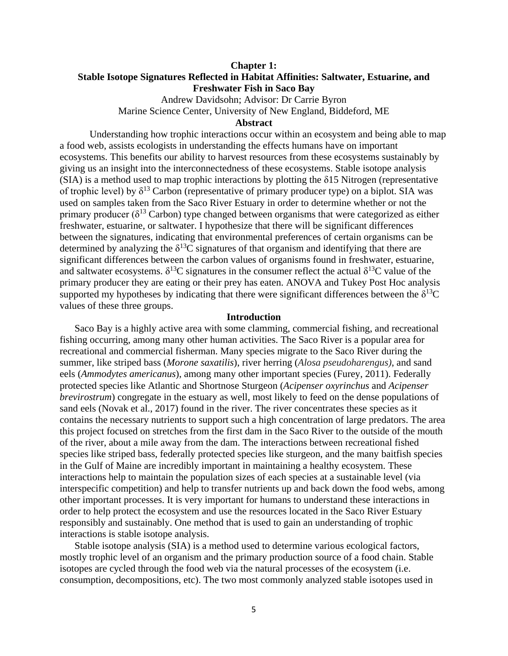## **Chapter 1: Stable Isotope Signatures Reflected in Habitat Affinities: Saltwater, Estuarine, and Freshwater Fish in Saco Bay**

Andrew Davidsohn; Advisor: Dr Carrie Byron Marine Science Center, University of New England, Biddeford, ME

## **Abstract**

Understanding how trophic interactions occur within an ecosystem and being able to map a food web, assists ecologists in understanding the effects humans have on important ecosystems. This benefits our ability to harvest resources from these ecosystems sustainably by giving us an insight into the interconnectedness of these ecosystems. Stable isotope analysis  $(SIA)$  is a method used to map trophic interactions by plotting the  $\delta$ 15 Nitrogen (representative of trophic level) by  $\delta^{13}$  Carbon (representative of primary producer type) on a biplot. SIA was used on samples taken from the Saco River Estuary in order to determine whether or not the primary producer ( $\delta^{13}$  Carbon) type changed between organisms that were categorized as either freshwater, estuarine, or saltwater. I hypothesize that there will be significant differences between the signatures, indicating that environmental preferences of certain organisms can be determined by analyzing the  $\delta^{13}$ C signatures of that organism and identifying that there are significant differences between the carbon values of organisms found in freshwater, estuarine, and saltwater ecosystems.  $\delta^{13}$ C signatures in the consumer reflect the actual  $\delta^{13}$ C value of the primary producer they are eating or their prey has eaten. ANOVA and Tukey Post Hoc analysis supported my hypotheses by indicating that there were significant differences between the  $\delta^{13}C$ values of these three groups.

#### **Introduction**

Saco Bay is a highly active area with some clamming, commercial fishing, and recreational fishing occurring, among many other human activities. The Saco River is a popular area for recreational and commercial fisherman. Many species migrate to the Saco River during the summer, like striped bass (*Morone saxatilis*), river herring (*Alosa pseudoharengus)*, and sand eels (*Ammodytes americanus*), among many other important species (Furey, 2011). Federally protected species like Atlantic and Shortnose Sturgeon (*Acipenser oxyrinchus* and *Acipenser brevirostrum*) congregate in the estuary as well, most likely to feed on the dense populations of sand eels (Novak et al., 2017) found in the river. The river concentrates these species as it contains the necessary nutrients to support such a high concentration of large predators. The area this project focused on stretches from the first dam in the Saco River to the outside of the mouth of the river, about a mile away from the dam. The interactions between recreational fished species like striped bass, federally protected species like sturgeon, and the many baitfish species in the Gulf of Maine are incredibly important in maintaining a healthy ecosystem. These interactions help to maintain the population sizes of each species at a sustainable level (via interspecific competition) and help to transfer nutrients up and back down the food webs, among other important processes. It is very important for humans to understand these interactions in order to help protect the ecosystem and use the resources located in the Saco River Estuary responsibly and sustainably. One method that is used to gain an understanding of trophic interactions is stable isotope analysis.

Stable isotope analysis (SIA) is a method used to determine various ecological factors, mostly trophic level of an organism and the primary production source of a food chain. Stable isotopes are cycled through the food web via the natural processes of the ecosystem (i.e. consumption, decompositions, etc). The two most commonly analyzed stable isotopes used in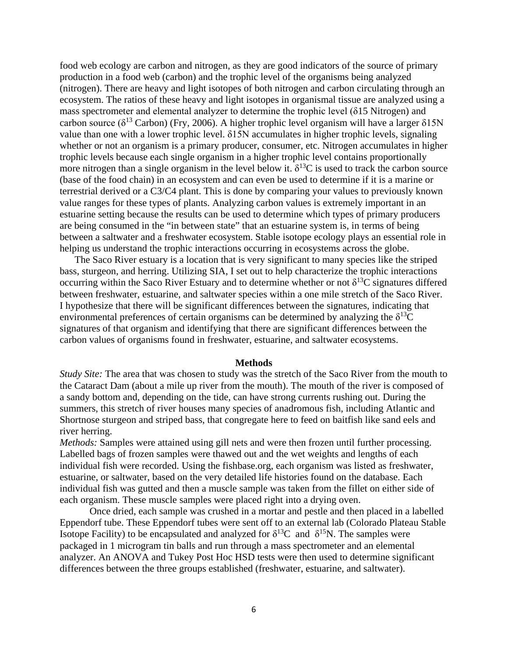food web ecology are carbon and nitrogen, as they are good indicators of the source of primary production in a food web (carbon) and the trophic level of the organisms being analyzed (nitrogen). There are heavy and light isotopes of both nitrogen and carbon circulating through an ecosystem. The ratios of these heavy and light isotopes in organismal tissue are analyzed using a mass spectrometer and elemental analyzer to determine the trophic level (δ15 Nitrogen) and carbon source ( $\delta^{13}$  Carbon) (Fry, 2006). A higher trophic level organism will have a larger  $\delta15N$ value than one with a lower trophic level. δ15N accumulates in higher trophic levels, signaling whether or not an organism is a primary producer, consumer, etc. Nitrogen accumulates in higher trophic levels because each single organism in a higher trophic level contains proportionally more nitrogen than a single organism in the level below it.  $\delta^{13}$ C is used to track the carbon source (base of the food chain) in an ecosystem and can even be used to determine if it is a marine or terrestrial derived or a C3/C4 plant. This is done by comparing your values to previously known value ranges for these types of plants. Analyzing carbon values is extremely important in an estuarine setting because the results can be used to determine which types of primary producers are being consumed in the "in between state" that an estuarine system is, in terms of being between a saltwater and a freshwater ecosystem. Stable isotope ecology plays an essential role in helping us understand the trophic interactions occurring in ecosystems across the globe.

The Saco River estuary is a location that is very significant to many species like the striped bass, sturgeon, and herring. Utilizing SIA, I set out to help characterize the trophic interactions occurring within the Saco River Estuary and to determine whether or not  $\delta^{13}C$  signatures differed between freshwater, estuarine, and saltwater species within a one mile stretch of the Saco River. I hypothesize that there will be significant differences between the signatures, indicating that environmental preferences of certain organisms can be determined by analyzing the  $\delta^{13}C$ signatures of that organism and identifying that there are significant differences between the carbon values of organisms found in freshwater, estuarine, and saltwater ecosystems.

#### **Methods**

*Study Site:* The area that was chosen to study was the stretch of the Saco River from the mouth to the Cataract Dam (about a mile up river from the mouth). The mouth of the river is composed of a sandy bottom and, depending on the tide, can have strong currents rushing out. During the summers, this stretch of river houses many species of anadromous fish, including Atlantic and Shortnose sturgeon and striped bass, that congregate here to feed on baitfish like sand eels and river herring.

*Methods:* Samples were attained using gill nets and were then frozen until further processing. Labelled bags of frozen samples were thawed out and the wet weights and lengths of each individual fish were recorded. Using the fishbase.org, each organism was listed as freshwater, estuarine, or saltwater, based on the very detailed life histories found on the database. Each individual fish was gutted and then a muscle sample was taken from the fillet on either side of each organism. These muscle samples were placed right into a drying oven.

Once dried, each sample was crushed in a mortar and pestle and then placed in a labelled Eppendorf tube. These Eppendorf tubes were sent off to an external lab (Colorado Plateau Stable Isotope Facility) to be encapsulated and analyzed for  $\delta^{13}C$  and  $\delta^{15}N$ . The samples were packaged in 1 microgram tin balls and run through a mass spectrometer and an elemental analyzer. An ANOVA and Tukey Post Hoc HSD tests were then used to determine significant differences between the three groups established (freshwater, estuarine, and saltwater).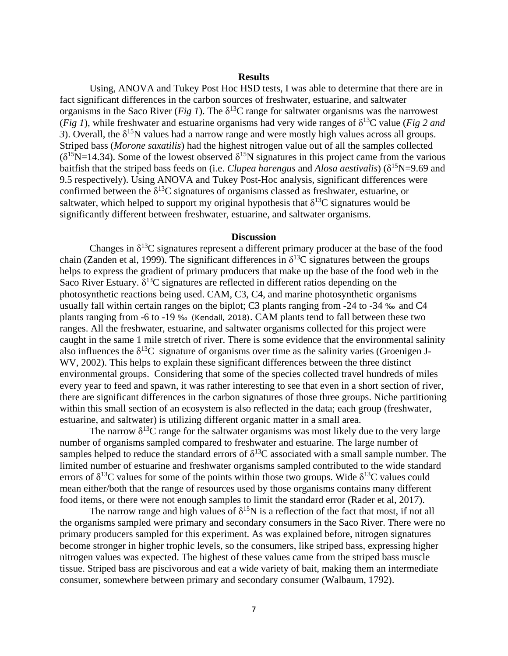#### **Results**

Using, ANOVA and Tukey Post Hoc HSD tests, I was able to determine that there are in fact significant differences in the carbon sources of freshwater, estuarine, and saltwater organisms in the Saco River (*Fig 1*). The  $\delta^{13}$ C range for saltwater organisms was the narrowest (*Fig 1*), while freshwater and estuarine organisms had very wide ranges of  $\delta^{13}C$  value (*Fig 2 and 3*). Overall, the  $\delta^{15}N$  values had a narrow range and were mostly high values across all groups. Striped bass (*Morone saxatilis*) had the highest nitrogen value out of all the samples collected  $(\delta^{15}N=14.34)$ . Some of the lowest observed  $\delta^{15}N$  signatures in this project came from the various baitfish that the striped bass feeds on (i.e. *Clupea harengus* and *Alosa aestivalis*) ( $\delta^{15}N=9.69$  and 9.5 respectively). Using ANOVA and Tukey Post-Hoc analysis, significant differences were confirmed between the  $\delta^{13}$ C signatures of organisms classed as freshwater, estuarine, or saltwater, which helped to support my original hypothesis that  $\delta^{13}C$  signatures would be significantly different between freshwater, estuarine, and saltwater organisms.

#### **Discussion**

Changes in  $\delta^{13}$ C signatures represent a different primary producer at the base of the food chain (Zanden et al, 1999). The significant differences in  $\delta^{13}$ C signatures between the groups helps to express the gradient of primary producers that make up the base of the food web in the Saco River Estuary.  $\delta^{13}C$  signatures are reflected in different ratios depending on the photosynthetic reactions being used. CAM, C3, C4, and marine photosynthetic organisms usually fall within certain ranges on the biplot; C3 plants ranging from -24 to -34 ‰ and C4 plants ranging from -6 to -19 ‰ (Kendall, 2018). CAM plants tend to fall between these two ranges. All the freshwater, estuarine, and saltwater organisms collected for this project were caught in the same 1 mile stretch of river. There is some evidence that the environmental salinity also influences the  $\delta^{13}C$  signature of organisms over time as the salinity varies (Groenigen J-WV, 2002). This helps to explain these significant differences between the three distinct environmental groups. Considering that some of the species collected travel hundreds of miles every year to feed and spawn, it was rather interesting to see that even in a short section of river, there are significant differences in the carbon signatures of those three groups. Niche partitioning within this small section of an ecosystem is also reflected in the data; each group (freshwater, estuarine, and saltwater) is utilizing different organic matter in a small area.

The narrow  $\delta^{13}$ C range for the saltwater organisms was most likely due to the very large number of organisms sampled compared to freshwater and estuarine. The large number of samples helped to reduce the standard errors of  $\delta^{13}$ C associated with a small sample number. The limited number of estuarine and freshwater organisms sampled contributed to the wide standard errors of  $\delta^{13}$ C values for some of the points within those two groups. Wide  $\delta^{13}$ C values could mean either/both that the range of resources used by those organisms contains many different food items, or there were not enough samples to limit the standard error (Rader et al, 2017).

The narrow range and high values of  $\delta^{15}N$  is a reflection of the fact that most, if not all the organisms sampled were primary and secondary consumers in the Saco River. There were no primary producers sampled for this experiment. As was explained before, nitrogen signatures become stronger in higher trophic levels, so the consumers, like striped bass, expressing higher nitrogen values was expected. The highest of these values came from the striped bass muscle tissue. Striped bass are piscivorous and eat a wide variety of bait, making them an intermediate consumer, somewhere between primary and secondary consumer (Walbaum, 1792).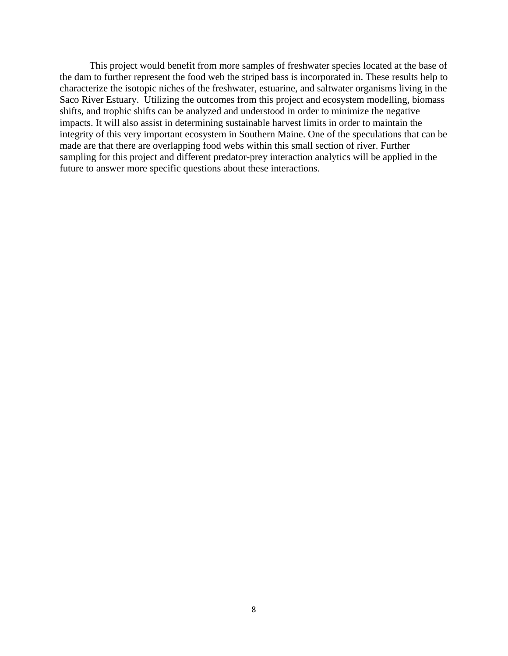This project would benefit from more samples of freshwater species located at the base of the dam to further represent the food web the striped bass is incorporated in. These results help to characterize the isotopic niches of the freshwater, estuarine, and saltwater organisms living in the Saco River Estuary. Utilizing the outcomes from this project and ecosystem modelling, biomass shifts, and trophic shifts can be analyzed and understood in order to minimize the negative impacts. It will also assist in determining sustainable harvest limits in order to maintain the integrity of this very important ecosystem in Southern Maine. One of the speculations that can be made are that there are overlapping food webs within this small section of river. Further sampling for this project and different predator-prey interaction analytics will be applied in the future to answer more specific questions about these interactions.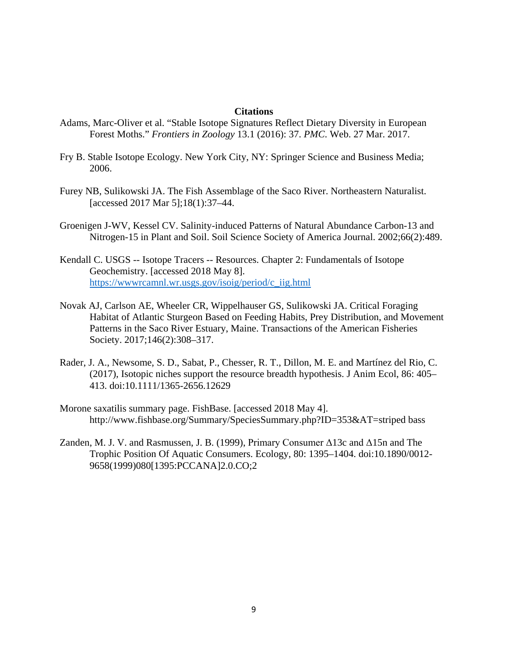#### **Citations**

- Adams, Marc-Oliver et al. "Stable Isotope Signatures Reflect Dietary Diversity in European Forest Moths." *Frontiers in Zoology* 13.1 (2016): 37. *PMC*. Web. 27 Mar. 2017.
- Fry B. Stable Isotope Ecology. New York City, NY: Springer Science and Business Media; 2006.
- Furey NB, Sulikowski JA. The Fish Assemblage of the Saco River. Northeastern Naturalist. [accessed 2017 Mar 5];18(1):37–44.
- Groenigen J-WV, Kessel CV. Salinity-induced Patterns of Natural Abundance Carbon-13 and Nitrogen-15 in Plant and Soil. Soil Science Society of America Journal. 2002;66(2):489.
- Kendall C. USGS -- Isotope Tracers -- Resources. Chapter 2: Fundamentals of Isotope Geochemistry. [accessed 2018 May 8]. [https://wwwrcamnl.wr.usgs.gov/isoig/period/c\\_iig.html](https://wwwrcamnl.wr.usgs.gov/isoig/period/c_iig.html)
- Novak AJ, Carlson AE, Wheeler CR, Wippelhauser GS, Sulikowski JA. Critical Foraging Habitat of Atlantic Sturgeon Based on Feeding Habits, Prey Distribution, and Movement Patterns in the Saco River Estuary, Maine. Transactions of the American Fisheries Society. 2017;146(2):308–317.
- Rader, J. A., Newsome, S. D., Sabat, P., Chesser, R. T., Dillon, M. E. and Martínez del Rio, C. (2017), Isotopic niches support the resource breadth hypothesis. J Anim Ecol, 86: 405– 413. doi:10.1111/1365-2656.12629
- Morone saxatilis summary page. FishBase. [accessed 2018 May 4]. http://www.fishbase.org/Summary/SpeciesSummary.php?ID=353&AT=striped bass
- Zanden, M. J. V. and Rasmussen, J. B. (1999), Primary Consumer  $\Delta$ 13c and  $\Delta$ 15n and The Trophic Position Of Aquatic Consumers. Ecology, 80: 1395–1404. doi:10.1890/0012- 9658(1999)080[1395:PCCANA]2.0.CO;2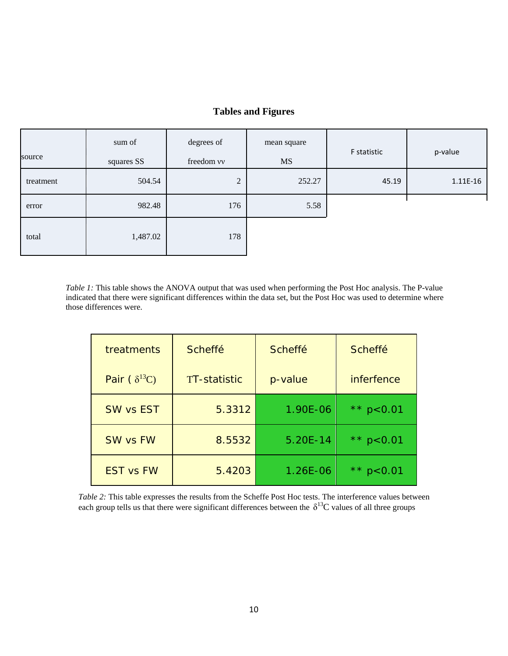## **Tables and Figures**

| source    | sum of<br>squares SS | degrees of<br>freedom vv | mean square<br><b>MS</b> | F statistic | p-value  |
|-----------|----------------------|--------------------------|--------------------------|-------------|----------|
| treatment | 504.54               | $\overline{2}$           | 252.27                   | 45.19       | 1.11E-16 |
| error     | 982.48               | 176                      | 5.58                     |             |          |
| total     | 1,487.02             | 178                      |                          |             |          |

*Table 1:* This table shows the ANOVA output that was used when performing the Post Hoc analysis. The P-value indicated that there were significant differences within the data set, but the Post Hoc was used to determine where those differences were.

| treatments            | <b>Scheffé</b>      | <b>Scheffé</b> | <b>Scheffé</b>            |
|-----------------------|---------------------|----------------|---------------------------|
| Pair $(\delta^{13}C)$ | <b>TT-statistic</b> | p-value        | <i>inferfence</i>         |
| <b>SW vs EST</b>      | 5.3312              | 1.90E-06       | $\star \star$<br>p < 0.01 |
| <b>SW vs FW</b>       | 8.5532              | 5.20E-14       | ** $p < 0.01$             |
| <b>EST vs FW</b>      | 5.4203              | 1.26E-06       |                           |

*Table 2:* This table expresses the results from the Scheffe Post Hoc tests. The interference values between each group tells us that there were significant differences between the  $\delta^{13}C$  values of all three groups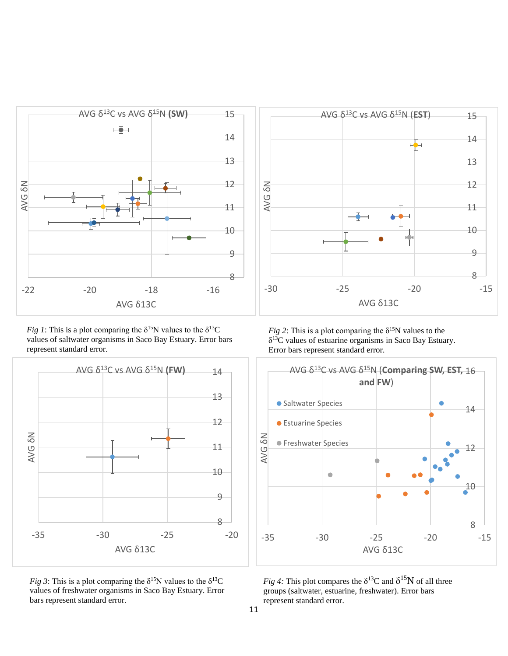

*Fig 1*: This is a plot comparing the  $\delta^{15}N$  values to the  $\delta^{13}C$ values of saltwater organisms in Saco Bay Estuary. Error bars represent standard error.



*Fig 3*: This is a plot comparing the  $\delta^{15}N$  values to the  $\delta^{13}C$ values of freshwater organisms in Saco Bay Estuary. Error bars represent standard error.



*Fig 2*: This is a plot comparing the  $\delta^{15}N$  values to the  $\delta^{13}$ C values of estuarine organisms in Saco Bay Estuary. Error bars represent standard error.



*Fig 4:* This plot compares the  $\delta^{13}$ C and  $\delta^{15}$ N of all three groups (saltwater, estuarine, freshwater). Error bars represent standard error.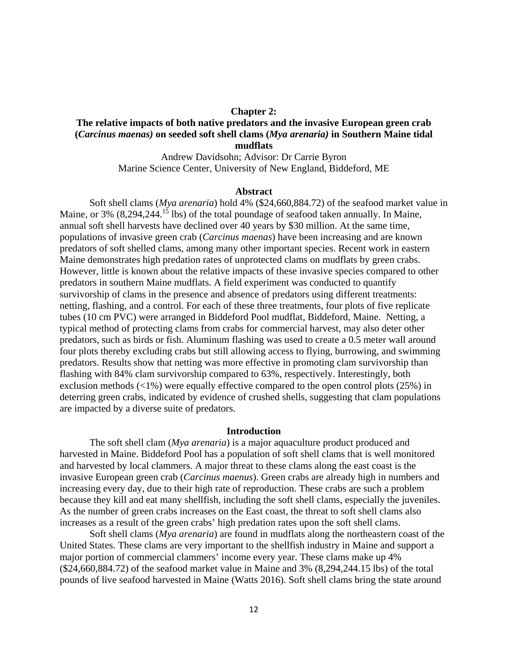#### **Chapter 2:**

## **The relative impacts of both native predators and the invasive European green crab (***Carcinus maenas)* **on seeded soft shell clams (***Mya arenaria)* **in Southern Maine tidal mudflats**

Andrew Davidsohn; Advisor: Dr Carrie Byron Marine Science Center, University of New England, Biddeford, ME

#### **Abstract**

Soft shell clams (*Mya arenaria*) hold 4% (\$24,660,884.72) of the seafood market value in Maine, or 3% (8,294,244.<sup>15</sup> lbs) of the total poundage of seafood taken annually. In Maine, annual soft shell harvests have declined over 40 years by \$30 million. At the same time, populations of invasive green crab (*Carcinus maenas*) have been increasing and are known predators of soft shelled clams, among many other important species. Recent work in eastern Maine demonstrates high predation rates of unprotected clams on mudflats by green crabs. However, little is known about the relative impacts of these invasive species compared to other predators in southern Maine mudflats. A field experiment was conducted to quantify survivorship of clams in the presence and absence of predators using different treatments: netting, flashing, and a control. For each of these three treatments, four plots of five replicate tubes (10 cm PVC) were arranged in Biddeford Pool mudflat, Biddeford, Maine. Netting, a typical method of protecting clams from crabs for commercial harvest, may also deter other predators, such as birds or fish. Aluminum flashing was used to create a 0.5 meter wall around four plots thereby excluding crabs but still allowing access to flying, burrowing, and swimming predators. Results show that netting was more effective in promoting clam survivorship than flashing with 84% clam survivorship compared to 63%, respectively. Interestingly, both exclusion methods  $\left\langle \langle 1\% \rangle \right\rangle$  were equally effective compared to the open control plots (25%) in deterring green crabs, indicated by evidence of crushed shells, suggesting that clam populations are impacted by a diverse suite of predators.

#### **Introduction**

The soft shell clam (*Mya arenaria*) is a major aquaculture product produced and harvested in Maine. Biddeford Pool has a population of soft shell clams that is well monitored and harvested by local clammers. A major threat to these clams along the east coast is the invasive European green crab (*Carcinus maenus*). Green crabs are already high in numbers and increasing every day, due to their high rate of reproduction. These crabs are such a problem because they kill and eat many shellfish, including the soft shell clams, especially the juveniles. As the number of green crabs increases on the East coast, the threat to soft shell clams also increases as a result of the green crabs' high predation rates upon the soft shell clams.

Soft shell clams (*Mya arenaria*) are found in mudflats along the northeastern coast of the United States. These clams are very important to the shellfish industry in Maine and support a major portion of commercial clammers' income every year. These clams make up 4% (\$24,660,884.72) of the seafood market value in Maine and 3% (8,294,244.15 lbs) of the total pounds of live seafood harvested in Maine (Watts 2016). Soft shell clams bring the state around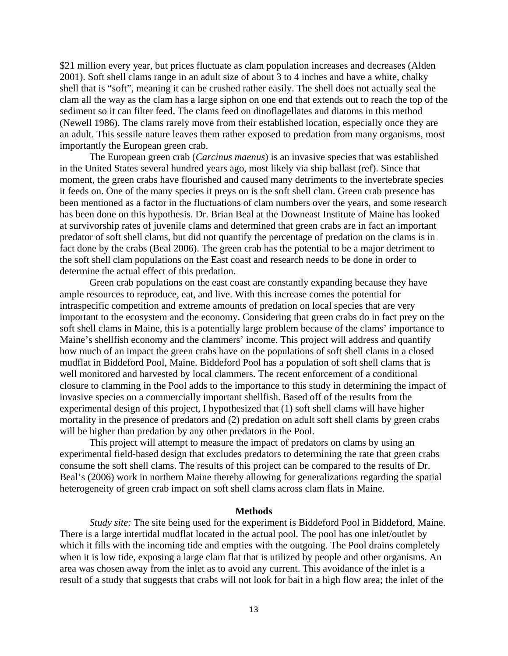\$21 million every year, but prices fluctuate as clam population increases and decreases (Alden 2001). Soft shell clams range in an adult size of about 3 to 4 inches and have a white, chalky shell that is "soft", meaning it can be crushed rather easily. The shell does not actually seal the clam all the way as the clam has a large siphon on one end that extends out to reach the top of the sediment so it can filter feed. The clams feed on dinoflagellates and diatoms in this method (Newell 1986). The clams rarely move from their established location, especially once they are an adult. This sessile nature leaves them rather exposed to predation from many organisms, most importantly the European green crab.

The European green crab (*Carcinus maenus*) is an invasive species that was established in the United States several hundred years ago, most likely via ship ballast (ref). Since that moment, the green crabs have flourished and caused many detriments to the invertebrate species it feeds on. One of the many species it preys on is the soft shell clam. Green crab presence has been mentioned as a factor in the fluctuations of clam numbers over the years, and some research has been done on this hypothesis. Dr. Brian Beal at the Downeast Institute of Maine has looked at survivorship rates of juvenile clams and determined that green crabs are in fact an important predator of soft shell clams, but did not quantify the percentage of predation on the clams is in fact done by the crabs (Beal 2006). The green crab has the potential to be a major detriment to the soft shell clam populations on the East coast and research needs to be done in order to determine the actual effect of this predation.

Green crab populations on the east coast are constantly expanding because they have ample resources to reproduce, eat, and live. With this increase comes the potential for intraspecific competition and extreme amounts of predation on local species that are very important to the ecosystem and the economy. Considering that green crabs do in fact prey on the soft shell clams in Maine, this is a potentially large problem because of the clams' importance to Maine's shellfish economy and the clammers' income. This project will address and quantify how much of an impact the green crabs have on the populations of soft shell clams in a closed mudflat in Biddeford Pool, Maine. Biddeford Pool has a population of soft shell clams that is well monitored and harvested by local clammers. The recent enforcement of a conditional closure to clamming in the Pool adds to the importance to this study in determining the impact of invasive species on a commercially important shellfish. Based off of the results from the experimental design of this project, I hypothesized that (1) soft shell clams will have higher mortality in the presence of predators and (2) predation on adult soft shell clams by green crabs will be higher than predation by any other predators in the Pool.

This project will attempt to measure the impact of predators on clams by using an experimental field-based design that excludes predators to determining the rate that green crabs consume the soft shell clams. The results of this project can be compared to the results of Dr. Beal's (2006) work in northern Maine thereby allowing for generalizations regarding the spatial heterogeneity of green crab impact on soft shell clams across clam flats in Maine.

#### **Methods**

*Study site:* The site being used for the experiment is Biddeford Pool in Biddeford, Maine. There is a large intertidal mudflat located in the actual pool. The pool has one inlet/outlet by which it fills with the incoming tide and empties with the outgoing. The Pool drains completely when it is low tide, exposing a large clam flat that is utilized by people and other organisms. An area was chosen away from the inlet as to avoid any current. This avoidance of the inlet is a result of a study that suggests that crabs will not look for bait in a high flow area; the inlet of the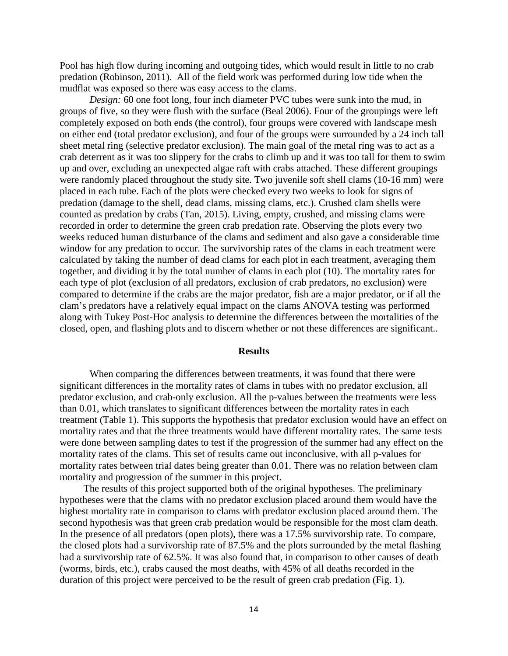Pool has high flow during incoming and outgoing tides, which would result in little to no crab predation (Robinson, 2011). All of the field work was performed during low tide when the mudflat was exposed so there was easy access to the clams.

*Design:* 60 one foot long, four inch diameter PVC tubes were sunk into the mud, in groups of five, so they were flush with the surface (Beal 2006). Four of the groupings were left completely exposed on both ends (the control), four groups were covered with landscape mesh on either end (total predator exclusion), and four of the groups were surrounded by a 24 inch tall sheet metal ring (selective predator exclusion). The main goal of the metal ring was to act as a crab deterrent as it was too slippery for the crabs to climb up and it was too tall for them to swim up and over, excluding an unexpected algae raft with crabs attached. These different groupings were randomly placed throughout the study site. Two juvenile soft shell clams (10-16 mm) were placed in each tube. Each of the plots were checked every two weeks to look for signs of predation (damage to the shell, dead clams, missing clams, etc.). Crushed clam shells were counted as predation by crabs (Tan, 2015). Living, empty, crushed, and missing clams were recorded in order to determine the green crab predation rate. Observing the plots every two weeks reduced human disturbance of the clams and sediment and also gave a considerable time window for any predation to occur. The survivorship rates of the clams in each treatment were calculated by taking the number of dead clams for each plot in each treatment, averaging them together, and dividing it by the total number of clams in each plot (10). The mortality rates for each type of plot (exclusion of all predators, exclusion of crab predators, no exclusion) were compared to determine if the crabs are the major predator, fish are a major predator, or if all the clam's predators have a relatively equal impact on the clams ANOVA testing was performed along with Tukey Post-Hoc analysis to determine the differences between the mortalities of the closed, open, and flashing plots and to discern whether or not these differences are significant..

#### **Results**

When comparing the differences between treatments, it was found that there were significant differences in the mortality rates of clams in tubes with no predator exclusion, all predator exclusion, and crab-only exclusion. All the p-values between the treatments were less than 0.01, which translates to significant differences between the mortality rates in each treatment (Table 1). This supports the hypothesis that predator exclusion would have an effect on mortality rates and that the three treatments would have different mortality rates. The same tests were done between sampling dates to test if the progression of the summer had any effect on the mortality rates of the clams. This set of results came out inconclusive, with all p-values for mortality rates between trial dates being greater than 0.01. There was no relation between clam mortality and progression of the summer in this project.

The results of this project supported both of the original hypotheses. The preliminary hypotheses were that the clams with no predator exclusion placed around them would have the highest mortality rate in comparison to clams with predator exclusion placed around them. The second hypothesis was that green crab predation would be responsible for the most clam death. In the presence of all predators (open plots), there was a 17.5% survivorship rate. To compare, the closed plots had a survivorship rate of 87.5% and the plots surrounded by the metal flashing had a survivorship rate of 62.5%. It was also found that, in comparison to other causes of death (worms, birds, etc.), crabs caused the most deaths, with 45% of all deaths recorded in the duration of this project were perceived to be the result of green crab predation (Fig. 1).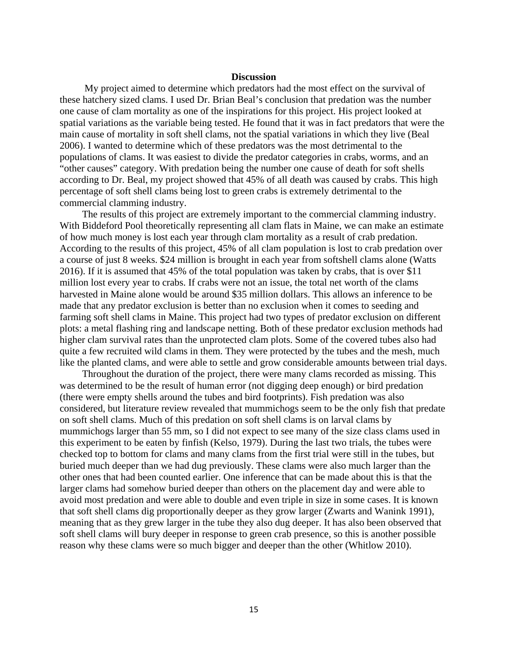#### **Discussion**

My project aimed to determine which predators had the most effect on the survival of these hatchery sized clams. I used Dr. Brian Beal's conclusion that predation was the number one cause of clam mortality as one of the inspirations for this project. His project looked at spatial variations as the variable being tested. He found that it was in fact predators that were the main cause of mortality in soft shell clams, not the spatial variations in which they live (Beal 2006). I wanted to determine which of these predators was the most detrimental to the populations of clams. It was easiest to divide the predator categories in crabs, worms, and an "other causes" category. With predation being the number one cause of death for soft shells according to Dr. Beal, my project showed that 45% of all death was caused by crabs. This high percentage of soft shell clams being lost to green crabs is extremely detrimental to the commercial clamming industry.

The results of this project are extremely important to the commercial clamming industry. With Biddeford Pool theoretically representing all clam flats in Maine, we can make an estimate of how much money is lost each year through clam mortality as a result of crab predation. According to the results of this project, 45% of all clam population is lost to crab predation over a course of just 8 weeks. \$24 million is brought in each year from softshell clams alone (Watts 2016). If it is assumed that 45% of the total population was taken by crabs, that is over \$11 million lost every year to crabs. If crabs were not an issue, the total net worth of the clams harvested in Maine alone would be around \$35 million dollars. This allows an inference to be made that any predator exclusion is better than no exclusion when it comes to seeding and farming soft shell clams in Maine. This project had two types of predator exclusion on different plots: a metal flashing ring and landscape netting. Both of these predator exclusion methods had higher clam survival rates than the unprotected clam plots. Some of the covered tubes also had quite a few recruited wild clams in them. They were protected by the tubes and the mesh, much like the planted clams, and were able to settle and grow considerable amounts between trial days.

 Throughout the duration of the project, there were many clams recorded as missing. This was determined to be the result of human error (not digging deep enough) or bird predation (there were empty shells around the tubes and bird footprints). Fish predation was also considered, but literature review revealed that mummichogs seem to be the only fish that predate on soft shell clams. Much of this predation on soft shell clams is on larval clams by mummichogs larger than 55 mm, so I did not expect to see many of the size class clams used in this experiment to be eaten by finfish (Kelso, 1979). During the last two trials, the tubes were checked top to bottom for clams and many clams from the first trial were still in the tubes, but buried much deeper than we had dug previously. These clams were also much larger than the other ones that had been counted earlier. One inference that can be made about this is that the larger clams had somehow buried deeper than others on the placement day and were able to avoid most predation and were able to double and even triple in size in some cases. It is known that soft shell clams dig proportionally deeper as they grow larger (Zwarts and Wanink 1991), meaning that as they grew larger in the tube they also dug deeper. It has also been observed that soft shell clams will bury deeper in response to green crab presence, so this is another possible reason why these clams were so much bigger and deeper than the other (Whitlow 2010).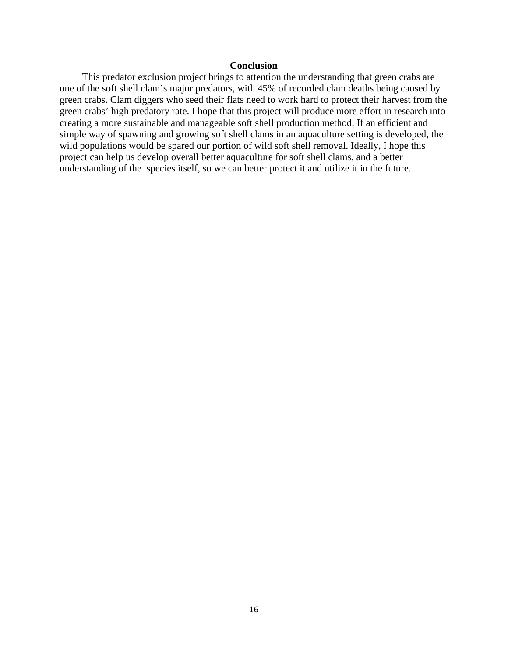## **Conclusion**

 This predator exclusion project brings to attention the understanding that green crabs are one of the soft shell clam's major predators, with 45% of recorded clam deaths being caused by green crabs. Clam diggers who seed their flats need to work hard to protect their harvest from the green crabs' high predatory rate. I hope that this project will produce more effort in research into creating a more sustainable and manageable soft shell production method. If an efficient and simple way of spawning and growing soft shell clams in an aquaculture setting is developed, the wild populations would be spared our portion of wild soft shell removal. Ideally, I hope this project can help us develop overall better aquaculture for soft shell clams, and a better understanding of the species itself, so we can better protect it and utilize it in the future.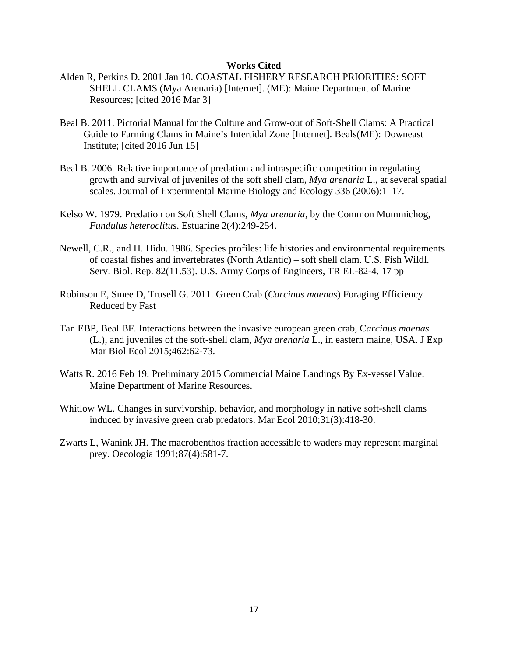#### **Works Cited**

- Alden R, Perkins D. 2001 Jan 10. COASTAL FISHERY RESEARCH PRIORITIES: SOFT SHELL CLAMS (Mya Arenaria) [Internet]. (ME): Maine Department of Marine Resources; [cited 2016 Mar 3]
- Beal B. 2011. Pictorial Manual for the Culture and Grow-out of Soft-Shell Clams: A Practical Guide to Farming Clams in Maine's Intertidal Zone [Internet]. Beals(ME): Downeast Institute; [cited 2016 Jun 15]
- Beal B. 2006. Relative importance of predation and intraspecific competition in regulating growth and survival of juveniles of the soft shell clam, *Mya arenaria* L., at several spatial scales. Journal of Experimental Marine Biology and Ecology 336 (2006):1–17.
- Kelso W. 1979. Predation on Soft Shell Clams, *Mya arenaria*, by the Common Mummichog, *Fundulus heteroclitus*. Estuarine 2(4):249-254.
- Newell, C.R., and H. Hidu. 1986. Species profiles: life histories and environmental requirements of coastal fishes and invertebrates (North Atlantic) – soft shell clam. U.S. Fish Wildl. Serv. Biol. Rep. 82(11.53). U.S. Army Corps of Engineers, TR EL-82-4. 17 pp
- Robinson E, Smee D, Trusell G. 2011. Green Crab (*Carcinus maenas*) Foraging Efficiency Reduced by Fast
- Tan EBP, Beal BF. Interactions between the invasive european green crab, C*arcinus maenas* (L.), and juveniles of the soft-shell clam, *Mya arenaria* L., in eastern maine, USA. J Exp Mar Biol Ecol 2015;462:62-73.
- Watts R. 2016 Feb 19. Preliminary 2015 Commercial Maine Landings By Ex-vessel Value. Maine Department of Marine Resources.
- Whitlow WL. Changes in survivorship, behavior, and morphology in native soft-shell clams induced by invasive green crab predators. Mar Ecol 2010;31(3):418-30.
- Zwarts L, Wanink JH. The macrobenthos fraction accessible to waders may represent marginal prey. Oecologia 1991;87(4):581-7.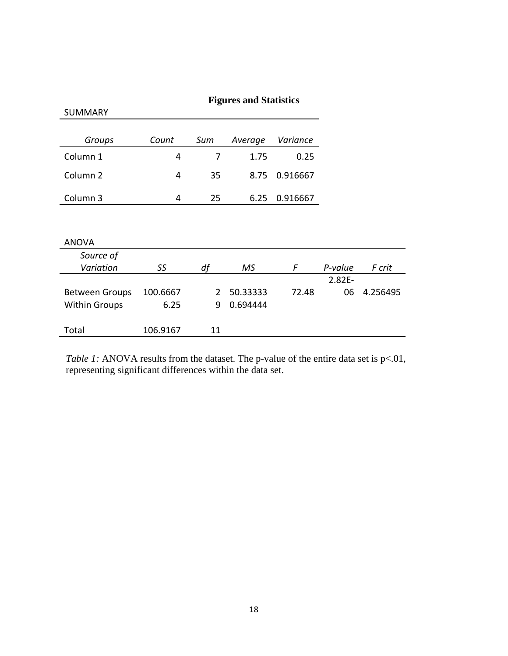|                       | <b>Figures and Statistics</b> |     |          |          |           |          |
|-----------------------|-------------------------------|-----|----------|----------|-----------|----------|
| <b>SUMMARY</b>        |                               |     |          |          |           |          |
|                       |                               |     |          |          |           |          |
| Groups                | Count                         | Sum | Average  | Variance |           |          |
| Column 1              | 4                             | 7   | 1.75     | 0.25     |           |          |
| Column <sub>2</sub>   | 4                             | 35  | 8.75     | 0.916667 |           |          |
| Column 3              | 4                             | 25  | 6.25     | 0.916667 |           |          |
|                       |                               |     |          |          |           |          |
| <b>ANOVA</b>          |                               |     |          |          |           |          |
| Source of             |                               |     |          |          |           |          |
| Variation             | SS                            | df  | MS       | F        | P-value   | F crit   |
|                       |                               |     |          |          | $2.82E -$ |          |
| <b>Between Groups</b> | 100.6667                      | 2   | 50.33333 | 72.48    | 06        | 4.256495 |
| <b>Within Groups</b>  | 6.25                          | 9   | 0.694444 |          |           |          |
| Total                 | 106.9167                      | 11  |          |          |           |          |

*Table 1:* ANOVA results from the dataset. The p-value of the entire data set is p<.01, representing significant differences within the data set.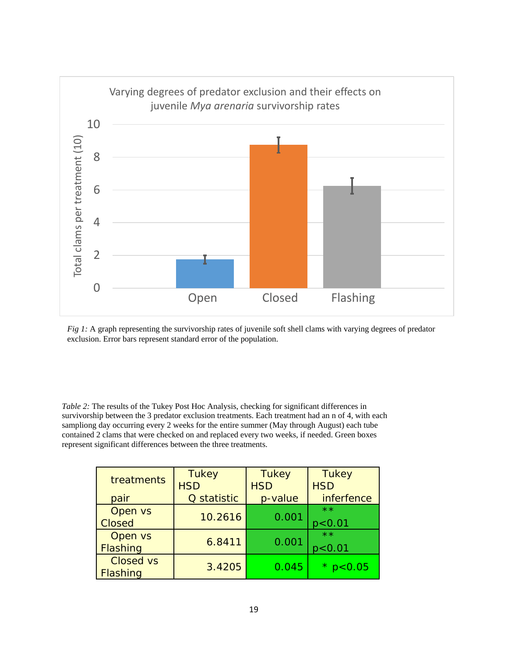

*Fig 1:* A graph representing the survivorship rates of juvenile soft shell clams with varying degrees of predator exclusion. Error bars represent standard error of the population.

*Table 2:* The results of the Tukey Post Hoc Analysis, checking for significant differences in survivorship between the 3 predator exclusion treatments. Each treatment had an n of 4, with each sampliong day occurring every 2 weeks for the entire summer (May through August) each tube contained 2 clams that were checked on and replaced every two weeks, if needed. Green boxes represent significant differences between the three treatments.

| treatments                          | <b>Tukey</b><br><b>HSD</b> | <b>Tukey</b><br><b>HSD</b> | <b>Tukey</b><br><b>HSD</b> |
|-------------------------------------|----------------------------|----------------------------|----------------------------|
| pair                                | Q statistic                | p-value                    | inferfence                 |
| Open vs<br><b>Closed</b>            | 10.2616                    | 0.001                      | $**$<br>p < 0.01           |
| Open vs<br>Flashing                 | 6.8411                     | 0.001                      | $**$<br>p < 0.01           |
| <b>Closed vs</b><br><b>Flashing</b> | 3.4205                     | 0.045                      | 0.05                       |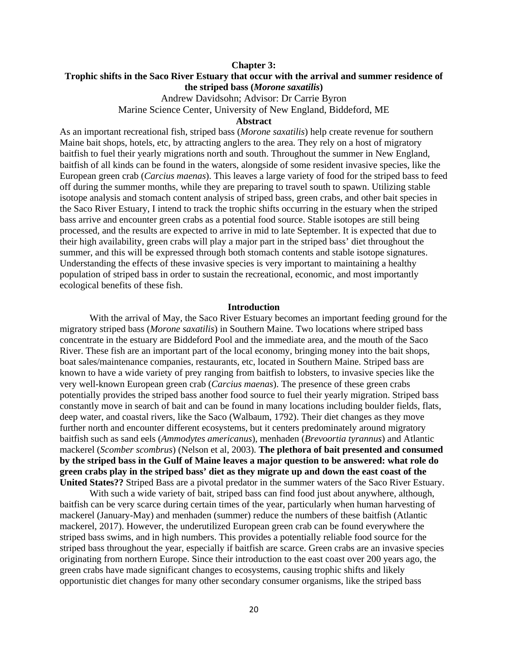#### **Chapter 3:**

## **Trophic shifts in the Saco River Estuary that occur with the arrival and summer residence of the striped bass (***Morone saxatilis***)**

Andrew Davidsohn; Advisor: Dr Carrie Byron Marine Science Center, University of New England, Biddeford, ME

### **Abstract**

As an important recreational fish, striped bass (*Morone saxatilis*) help create revenue for southern Maine bait shops, hotels, etc, by attracting anglers to the area. They rely on a host of migratory baitfish to fuel their yearly migrations north and south. Throughout the summer in New England, baitfish of all kinds can be found in the waters, alongside of some resident invasive species, like the European green crab (*Carcius maenas*). This leaves a large variety of food for the striped bass to feed off during the summer months, while they are preparing to travel south to spawn. Utilizing stable isotope analysis and stomach content analysis of striped bass, green crabs, and other bait species in the Saco River Estuary, I intend to track the trophic shifts occurring in the estuary when the striped bass arrive and encounter green crabs as a potential food source. Stable isotopes are still being processed, and the results are expected to arrive in mid to late September. It is expected that due to their high availability, green crabs will play a major part in the striped bass' diet throughout the summer, and this will be expressed through both stomach contents and stable isotope signatures. Understanding the effects of these invasive species is very important to maintaining a healthy population of striped bass in order to sustain the recreational, economic, and most importantly ecological benefits of these fish.

#### **Introduction**

With the arrival of May, the Saco River Estuary becomes an important feeding ground for the migratory striped bass (*Morone saxatilis*) in Southern Maine. Two locations where striped bass concentrate in the estuary are Biddeford Pool and the immediate area, and the mouth of the Saco River. These fish are an important part of the local economy, bringing money into the bait shops, boat sales/maintenance companies, restaurants, etc, located in Southern Maine. Striped bass are known to have a wide variety of prey ranging from baitfish to lobsters, to invasive species like the very well-known European green crab (*Carcius maenas*). The presence of these green crabs potentially provides the striped bass another food source to fuel their yearly migration. Striped bass constantly move in search of bait and can be found in many locations including boulder fields, flats, deep water, and coastal rivers, like the Saco (Walbaum, 1792). Their diet changes as they move further north and encounter different ecosystems, but it centers predominately around migratory baitfish such as sand eels (*Ammodytes americanus*), menhaden (*Brevoortia tyrannus*) and Atlantic mackerel (*Scomber scombrus*) (Nelson et al, 2003). **The plethora of bait presented and consumed by the striped bass in the Gulf of Maine leaves a major question to be answered: what role do green crabs play in the striped bass' diet as they migrate up and down the east coast of the United States??** Striped Bass are a pivotal predator in the summer waters of the Saco River Estuary.

With such a wide variety of bait, striped bass can find food just about anywhere, although, baitfish can be very scarce during certain times of the year, particularly when human harvesting of mackerel (January-May) and menhaden (summer) reduce the numbers of these baitfish (Atlantic mackerel, 2017). However, the underutilized European green crab can be found everywhere the striped bass swims, and in high numbers. This provides a potentially reliable food source for the striped bass throughout the year, especially if baitfish are scarce. Green crabs are an invasive species originating from northern Europe. Since their introduction to the east coast over 200 years ago, the green crabs have made significant changes to ecosystems, causing trophic shifts and likely opportunistic diet changes for many other secondary consumer organisms, like the striped bass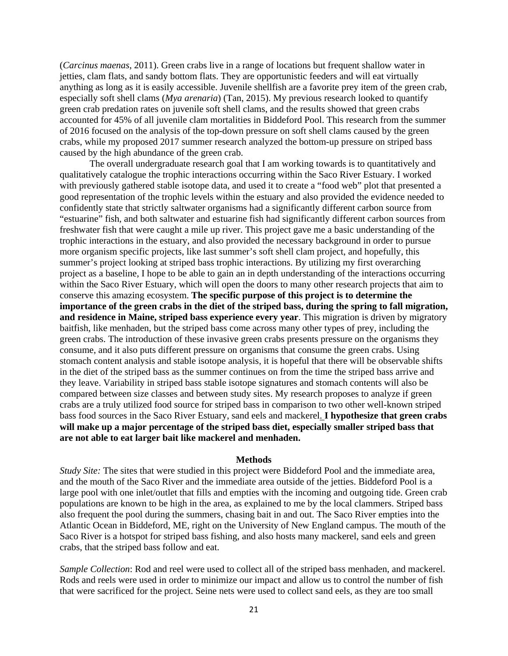(*Carcinus maenas*, 2011). Green crabs live in a range of locations but frequent shallow water in jetties, clam flats, and sandy bottom flats. They are opportunistic feeders and will eat virtually anything as long as it is easily accessible. Juvenile shellfish are a favorite prey item of the green crab, especially soft shell clams (*Mya arenaria*) (Tan, 2015). My previous research looked to quantify green crab predation rates on juvenile soft shell clams, and the results showed that green crabs accounted for 45% of all juvenile clam mortalities in Biddeford Pool. This research from the summer of 2016 focused on the analysis of the top-down pressure on soft shell clams caused by the green crabs, while my proposed 2017 summer research analyzed the bottom-up pressure on striped bass caused by the high abundance of the green crab.

The overall undergraduate research goal that I am working towards is to quantitatively and qualitatively catalogue the trophic interactions occurring within the Saco River Estuary. I worked with previously gathered stable isotope data, and used it to create a "food web" plot that presented a good representation of the trophic levels within the estuary and also provided the evidence needed to confidently state that strictly saltwater organisms had a significantly different carbon source from "estuarine" fish, and both saltwater and estuarine fish had significantly different carbon sources from freshwater fish that were caught a mile up river. This project gave me a basic understanding of the trophic interactions in the estuary, and also provided the necessary background in order to pursue more organism specific projects, like last summer's soft shell clam project, and hopefully, this summer's project looking at striped bass trophic interactions. By utilizing my first overarching project as a baseline, I hope to be able to gain an in depth understanding of the interactions occurring within the Saco River Estuary, which will open the doors to many other research projects that aim to conserve this amazing ecosystem. **The specific purpose of this project is to determine the importance of the green crabs in the diet of the striped bass, during the spring to fall migration, and residence in Maine, striped bass experience every year**. This migration is driven by migratory baitfish, like menhaden, but the striped bass come across many other types of prey, including the green crabs. The introduction of these invasive green crabs presents pressure on the organisms they consume, and it also puts different pressure on organisms that consume the green crabs. Using stomach content analysis and stable isotope analysis, it is hopeful that there will be observable shifts in the diet of the striped bass as the summer continues on from the time the striped bass arrive and they leave. Variability in striped bass stable isotope signatures and stomach contents will also be compared between size classes and between study sites. My research proposes to analyze if green crabs are a truly utilized food source for striped bass in comparison to two other well-known striped bass food sources in the Saco River Estuary, sand eels and mackerel. **I hypothesize that green crabs will make up a major percentage of the striped bass diet, especially smaller striped bass that are not able to eat larger bait like mackerel and menhaden.**

#### **Methods**

*Study Site:* The sites that were studied in this project were Biddeford Pool and the immediate area, and the mouth of the Saco River and the immediate area outside of the jetties. Biddeford Pool is a large pool with one inlet/outlet that fills and empties with the incoming and outgoing tide. Green crab populations are known to be high in the area, as explained to me by the local clammers. Striped bass also frequent the pool during the summers, chasing bait in and out. The Saco River empties into the Atlantic Ocean in Biddeford, ME, right on the University of New England campus. The mouth of the Saco River is a hotspot for striped bass fishing, and also hosts many mackerel, sand eels and green crabs, that the striped bass follow and eat.

*Sample Collection*: Rod and reel were used to collect all of the striped bass menhaden, and mackerel. Rods and reels were used in order to minimize our impact and allow us to control the number of fish that were sacrificed for the project. Seine nets were used to collect sand eels, as they are too small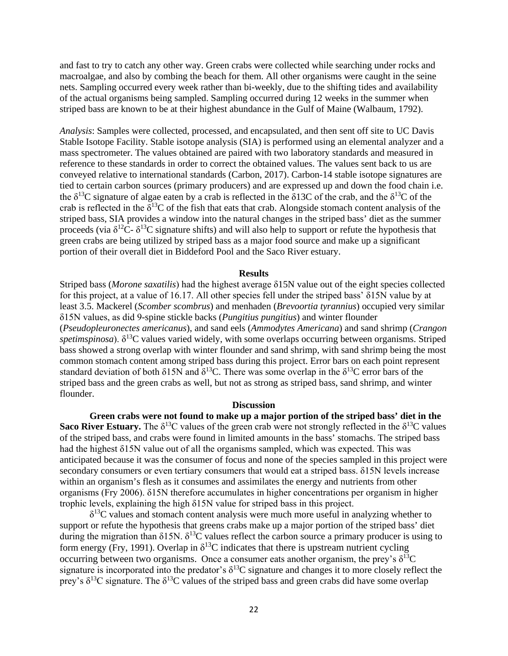and fast to try to catch any other way. Green crabs were collected while searching under rocks and macroalgae, and also by combing the beach for them. All other organisms were caught in the seine nets. Sampling occurred every week rather than bi-weekly, due to the shifting tides and availability of the actual organisms being sampled. Sampling occurred during 12 weeks in the summer when striped bass are known to be at their highest abundance in the Gulf of Maine (Walbaum, 1792).

*Analysis*: Samples were collected, processed, and encapsulated, and then sent off site to UC Davis Stable Isotope Facility. Stable isotope analysis (SIA) is performed using an elemental analyzer and a mass spectrometer. The values obtained are paired with two laboratory standards and measured in reference to these standards in order to correct the obtained values. The values sent back to us are conveyed relative to international standards (Carbon, 2017). Carbon-14 stable isotope signatures are tied to certain carbon sources (primary producers) and are expressed up and down the food chain i.e. the  $\delta^{13}$ C signature of algae eaten by a crab is reflected in the  $\delta^{13}$ C of the crab, and the  $\delta^{13}$ C of the crab is reflected in the  $\delta^{13}$ C of the fish that eats that crab. Alongside stomach content analysis of the striped bass, SIA provides a window into the natural changes in the striped bass' diet as the summer proceeds (via  $\delta^{12}C - \delta^{13}C$  signature shifts) and will also help to support or refute the hypothesis that green crabs are being utilized by striped bass as a major food source and make up a significant portion of their overall diet in Biddeford Pool and the Saco River estuary.

#### **Results**

Striped bass (*Morone saxatilis*) had the highest average δ15N value out of the eight species collected for this project, at a value of 16.17. All other species fell under the striped bass' δ15N value by at least 3.5. Mackerel (*Scomber scombrus*) and menhaden (*Brevoortia tyrannius*) occupied very similar δ15N values, as did 9-spine stickle backs (*Pungitius pungitius*) and winter flounder (*Pseudopleuronectes americanus*), and sand eels (*Ammodytes Americana*) and sand shrimp (*Crangon*   $spetimspinosa$ ).  $\delta^{13}$ C values varied widely, with some overlaps occurring between organisms. Striped bass showed a strong overlap with winter flounder and sand shrimp, with sand shrimp being the most common stomach content among striped bass during this project. Error bars on each point represent standard deviation of both  $\delta$ 15N and  $\delta$ <sup>13</sup>C. There was some overlap in the  $\delta$ <sup>13</sup>C error bars of the striped bass and the green crabs as well, but not as strong as striped bass, sand shrimp, and winter flounder.

#### **Discussion**

**Green crabs were not found to make up a major portion of the striped bass' diet in the Saco River Estuary.** The  $\delta^{13}$ C values of the green crab were not strongly reflected in the  $\delta^{13}$ C values of the striped bass, and crabs were found in limited amounts in the bass' stomachs. The striped bass had the highest δ15N value out of all the organisms sampled, which was expected. This was anticipated because it was the consumer of focus and none of the species sampled in this project were secondary consumers or even tertiary consumers that would eat a striped bass. δ15N levels increase within an organism's flesh as it consumes and assimilates the energy and nutrients from other organisms (Fry 2006). δ15N therefore accumulates in higher concentrations per organism in higher trophic levels, explaining the high δ15N value for striped bass in this project.

 $\delta^{13}$ C values and stomach content analysis were much more useful in analyzing whether to support or refute the hypothesis that greens crabs make up a major portion of the striped bass' diet during the migration than  $\delta$ 15N.  $\delta$ <sup>13</sup>C values reflect the carbon source a primary producer is using to form energy (Fry, 1991). Overlap in  $\delta^{13}$ C indicates that there is upstream nutrient cycling occurring between two organisms. Once a consumer eats another organism, the prey's  $\delta^{13}C$ signature is incorporated into the predator's  $\delta^{13}$ C signature and changes it to more closely reflect the prey's  $\delta^{13}$ C signature. The  $\delta^{13}$ C values of the striped bass and green crabs did have some overlap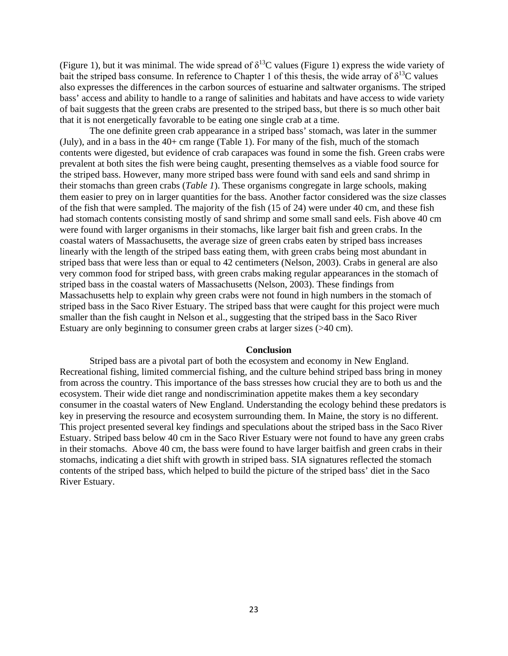(Figure 1), but it was minimal. The wide spread of  $\delta^{13}$ C values (Figure 1) express the wide variety of bait the striped bass consume. In reference to Chapter 1 of this thesis, the wide array of  $\delta^{13}C$  values also expresses the differences in the carbon sources of estuarine and saltwater organisms. The striped bass' access and ability to handle to a range of salinities and habitats and have access to wide variety of bait suggests that the green crabs are presented to the striped bass, but there is so much other bait that it is not energetically favorable to be eating one single crab at a time.

The one definite green crab appearance in a striped bass' stomach, was later in the summer (July), and in a bass in the  $40+$  cm range (Table 1). For many of the fish, much of the stomach contents were digested, but evidence of crab carapaces was found in some the fish. Green crabs were prevalent at both sites the fish were being caught, presenting themselves as a viable food source for the striped bass. However, many more striped bass were found with sand eels and sand shrimp in their stomachs than green crabs (*Table 1*). These organisms congregate in large schools, making them easier to prey on in larger quantities for the bass. Another factor considered was the size classes of the fish that were sampled. The majority of the fish (15 of 24) were under 40 cm, and these fish had stomach contents consisting mostly of sand shrimp and some small sand eels. Fish above 40 cm were found with larger organisms in their stomachs, like larger bait fish and green crabs. In the coastal waters of Massachusetts, the average size of green crabs eaten by striped bass increases linearly with the length of the striped bass eating them, with green crabs being most abundant in striped bass that were less than or equal to 42 centimeters (Nelson, 2003). Crabs in general are also very common food for striped bass, with green crabs making regular appearances in the stomach of striped bass in the coastal waters of Massachusetts (Nelson, 2003). These findings from Massachusetts help to explain why green crabs were not found in high numbers in the stomach of striped bass in the Saco River Estuary. The striped bass that were caught for this project were much smaller than the fish caught in Nelson et al., suggesting that the striped bass in the Saco River Estuary are only beginning to consumer green crabs at larger sizes (>40 cm).

#### **Conclusion**

Striped bass are a pivotal part of both the ecosystem and economy in New England. Recreational fishing, limited commercial fishing, and the culture behind striped bass bring in money from across the country. This importance of the bass stresses how crucial they are to both us and the ecosystem. Their wide diet range and nondiscrimination appetite makes them a key secondary consumer in the coastal waters of New England. Understanding the ecology behind these predators is key in preserving the resource and ecosystem surrounding them. In Maine, the story is no different. This project presented several key findings and speculations about the striped bass in the Saco River Estuary. Striped bass below 40 cm in the Saco River Estuary were not found to have any green crabs in their stomachs. Above 40 cm, the bass were found to have larger baitfish and green crabs in their stomachs, indicating a diet shift with growth in striped bass. SIA signatures reflected the stomach contents of the striped bass, which helped to build the picture of the striped bass' diet in the Saco River Estuary.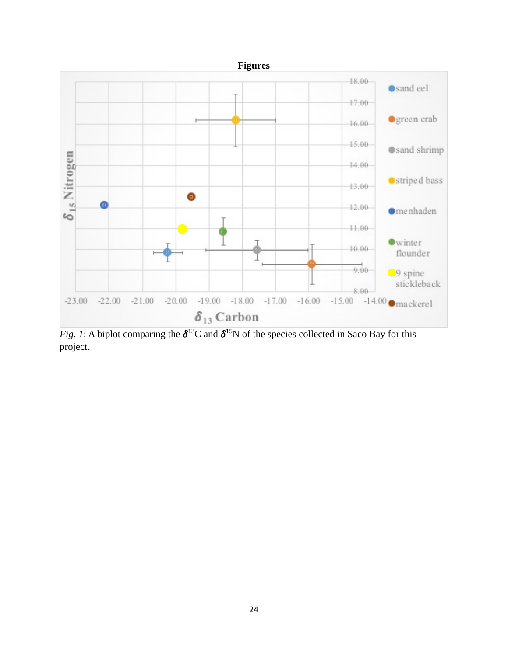

*Fig. 1*: A biplot comparing the  $\delta^{13}C$  and  $\delta^{15}N$  of the species collected in Saco Bay for this project.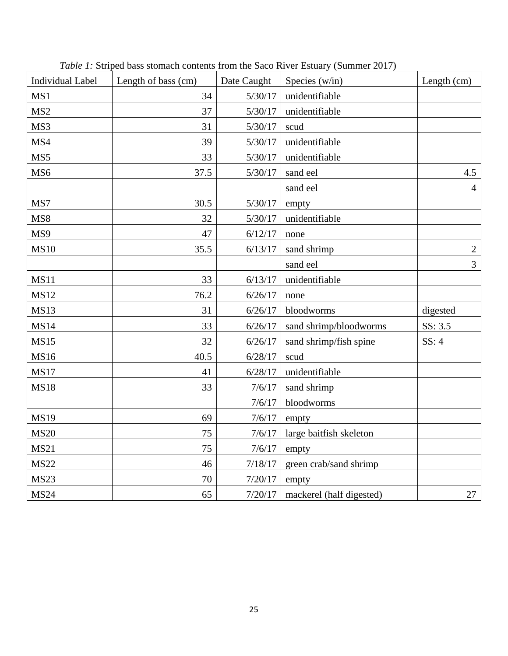| <b>Individual Label</b> | Length of bass (cm) | Date Caught | Species (w/in)           | Length (cm)    |
|-------------------------|---------------------|-------------|--------------------------|----------------|
| MS1                     | 34                  | 5/30/17     | unidentifiable           |                |
| MS <sub>2</sub>         | 37                  | 5/30/17     | unidentifiable           |                |
| MS3                     | 31                  | 5/30/17     | scud                     |                |
| MS4                     | 39                  | 5/30/17     | unidentifiable           |                |
| MS5                     | 33                  | 5/30/17     | unidentifiable           |                |
| MS6                     | 37.5                | 5/30/17     | sand eel                 | 4.5            |
|                         |                     |             | sand eel                 | $\overline{4}$ |
| MS7                     | 30.5                | 5/30/17     | empty                    |                |
| MS8                     | 32                  | 5/30/17     | unidentifiable           |                |
| MS9                     | 47                  | 6/12/17     | none                     |                |
| <b>MS10</b>             | 35.5                | 6/13/17     | sand shrimp              | $\overline{2}$ |
|                         |                     |             | sand eel                 | 3              |
| <b>MS11</b>             | 33                  | 6/13/17     | unidentifiable           |                |
| <b>MS12</b>             | 76.2                | 6/26/17     | none                     |                |
| <b>MS13</b>             | 31                  | 6/26/17     | bloodworms               | digested       |
| <b>MS14</b>             | 33                  | 6/26/17     | sand shrimp/bloodworms   | SS: 3.5        |
| <b>MS15</b>             | 32                  | 6/26/17     | sand shrimp/fish spine   | SS: 4          |
| <b>MS16</b>             | 40.5                | 6/28/17     | scud                     |                |
| <b>MS17</b>             | 41                  | 6/28/17     | unidentifiable           |                |
| <b>MS18</b>             | 33                  | 7/6/17      | sand shrimp              |                |
|                         |                     | 7/6/17      | bloodworms               |                |
| <b>MS19</b>             | 69                  | 7/6/17      | empty                    |                |
| <b>MS20</b>             | 75                  | 7/6/17      | large baitfish skeleton  |                |
| <b>MS21</b>             | 75                  | 7/6/17      | empty                    |                |
| <b>MS22</b>             | 46                  | 7/18/17     | green crab/sand shrimp   |                |
| <b>MS23</b>             | 70                  | 7/20/17     | empty                    |                |
| <b>MS24</b>             | 65                  | 7/20/17     | mackerel (half digested) | $27\,$         |

*Table 1:* Striped bass stomach contents from the Saco River Estuary (Summer 2017)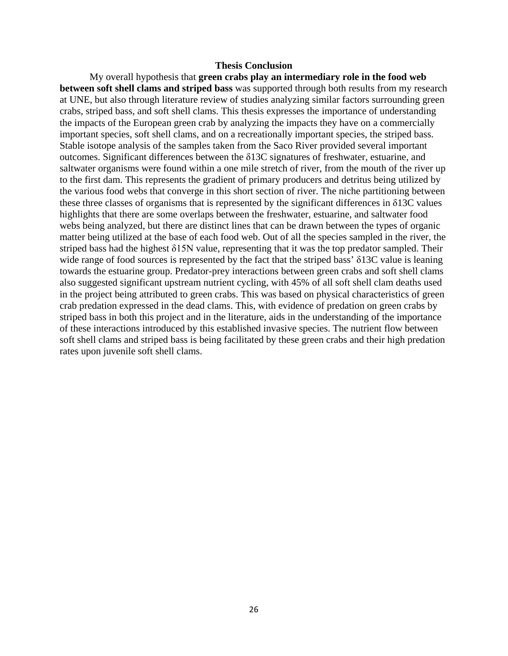#### **Thesis Conclusion**

My overall hypothesis that **green crabs play an intermediary role in the food web between soft shell clams and striped bass** was supported through both results from my research at UNE, but also through literature review of studies analyzing similar factors surrounding green crabs, striped bass, and soft shell clams. This thesis expresses the importance of understanding the impacts of the European green crab by analyzing the impacts they have on a commercially important species, soft shell clams, and on a recreationally important species, the striped bass. Stable isotope analysis of the samples taken from the Saco River provided several important outcomes. Significant differences between the δ13C signatures of freshwater, estuarine, and saltwater organisms were found within a one mile stretch of river, from the mouth of the river up to the first dam. This represents the gradient of primary producers and detritus being utilized by the various food webs that converge in this short section of river. The niche partitioning between these three classes of organisms that is represented by the significant differences in  $\delta$ 13C values highlights that there are some overlaps between the freshwater, estuarine, and saltwater food webs being analyzed, but there are distinct lines that can be drawn between the types of organic matter being utilized at the base of each food web. Out of all the species sampled in the river, the striped bass had the highest δ15N value, representing that it was the top predator sampled. Their wide range of food sources is represented by the fact that the striped bass' δ13C value is leaning towards the estuarine group. Predator-prey interactions between green crabs and soft shell clams also suggested significant upstream nutrient cycling, with 45% of all soft shell clam deaths used in the project being attributed to green crabs. This was based on physical characteristics of green crab predation expressed in the dead clams. This, with evidence of predation on green crabs by striped bass in both this project and in the literature, aids in the understanding of the importance of these interactions introduced by this established invasive species. The nutrient flow between soft shell clams and striped bass is being facilitated by these green crabs and their high predation rates upon juvenile soft shell clams.